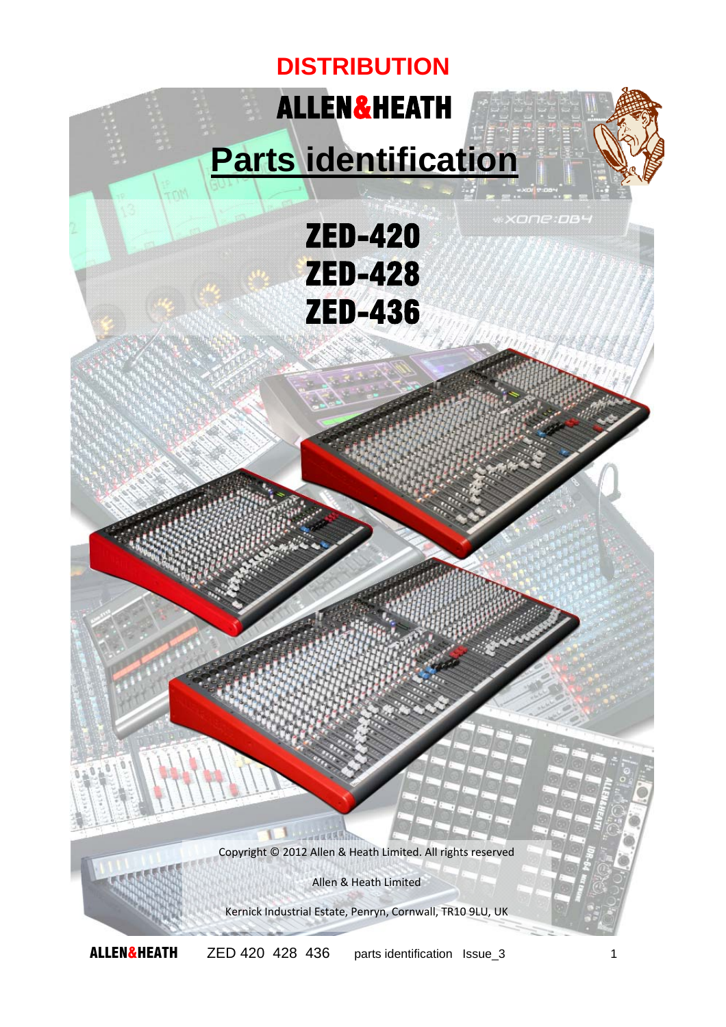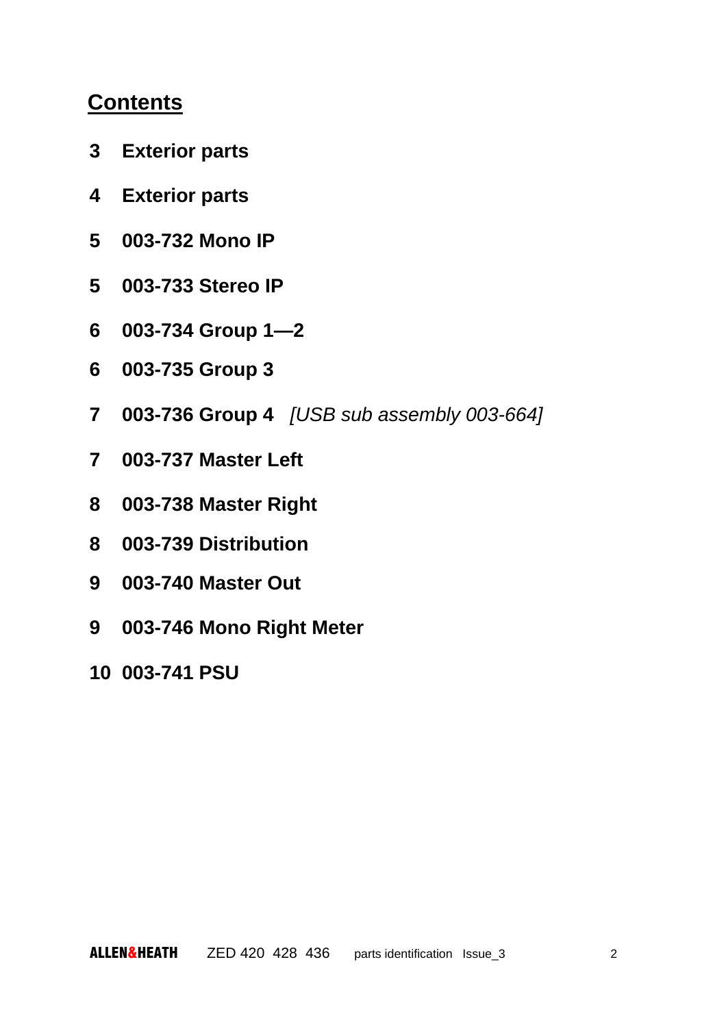## **Contents**

- **3 Exterior parts**
- **4 Exterior parts**
- **5 003-732 Mono IP**
- **5 003-733 Stereo IP**
- **6 003-734 Group 1—2**
- **6 003-735 Group 3**
- **7 003-736 Group 4** *[USB sub assembly 003-664]*
- **7 003-737 Master Left**
- **8 003-738 Master Right**
- **8 003-739 Distribution**
- **9 003-740 Master Out**
- **9 003-746 Mono Right Meter**
- **10 003-741 PSU**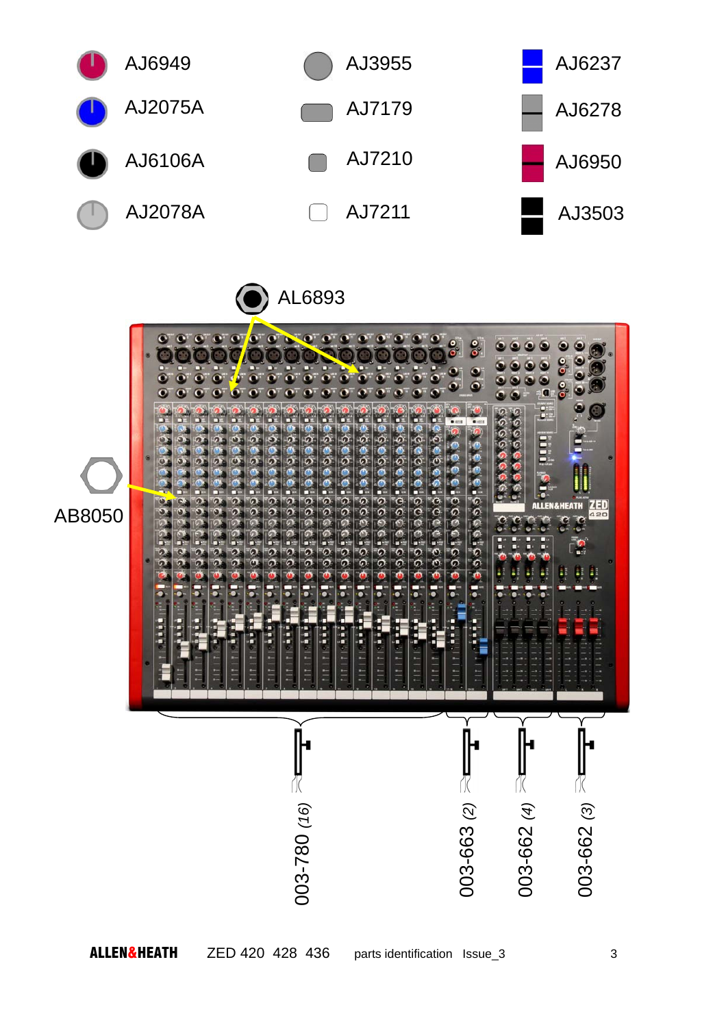

AL6893

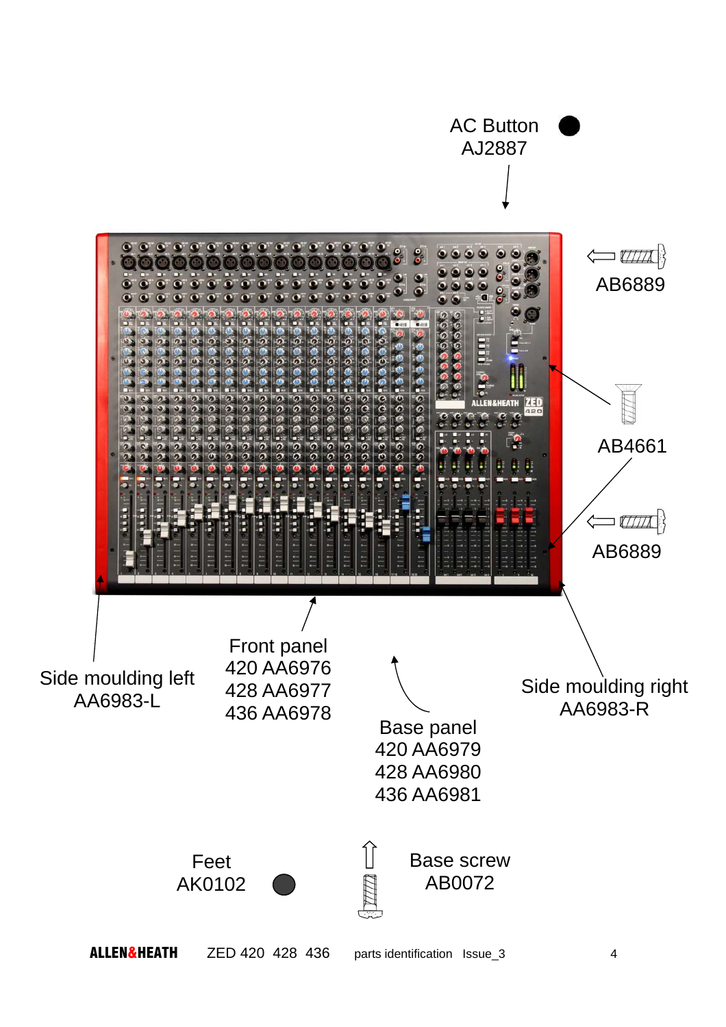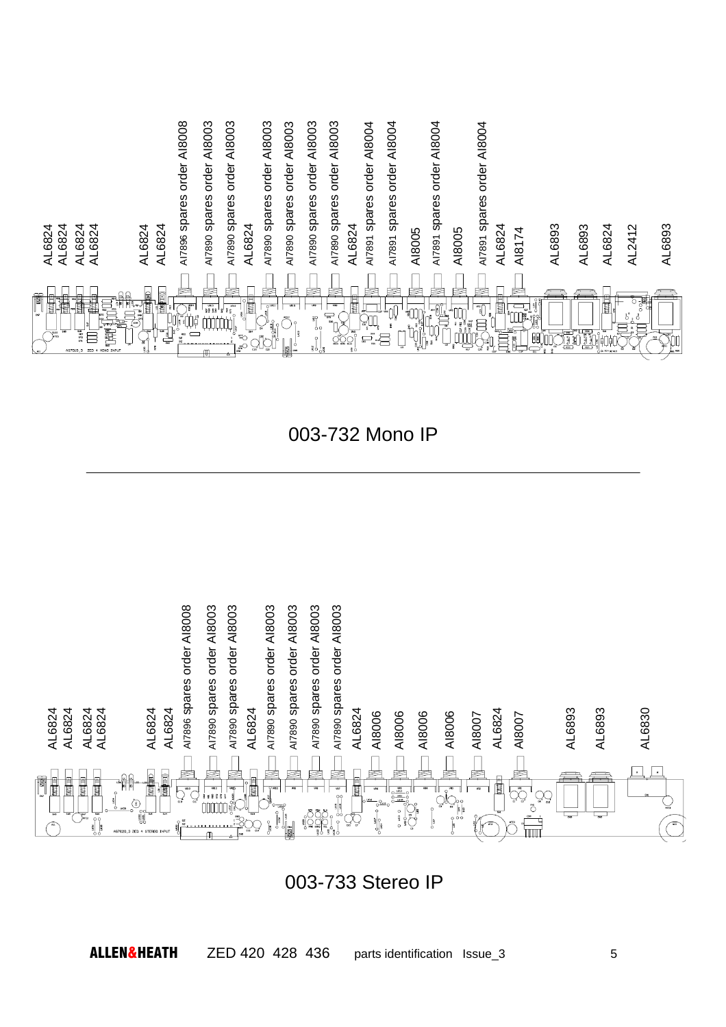

003-732 Mono IP



003-733 Stereo IP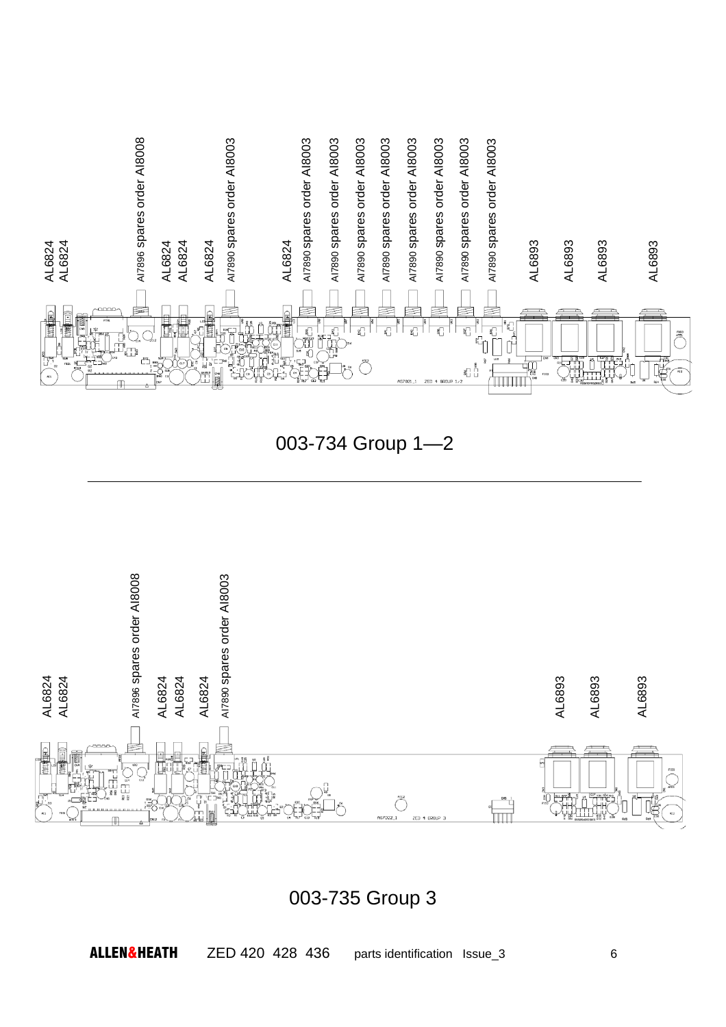

003-734 Group 1—2



003-735 Group 3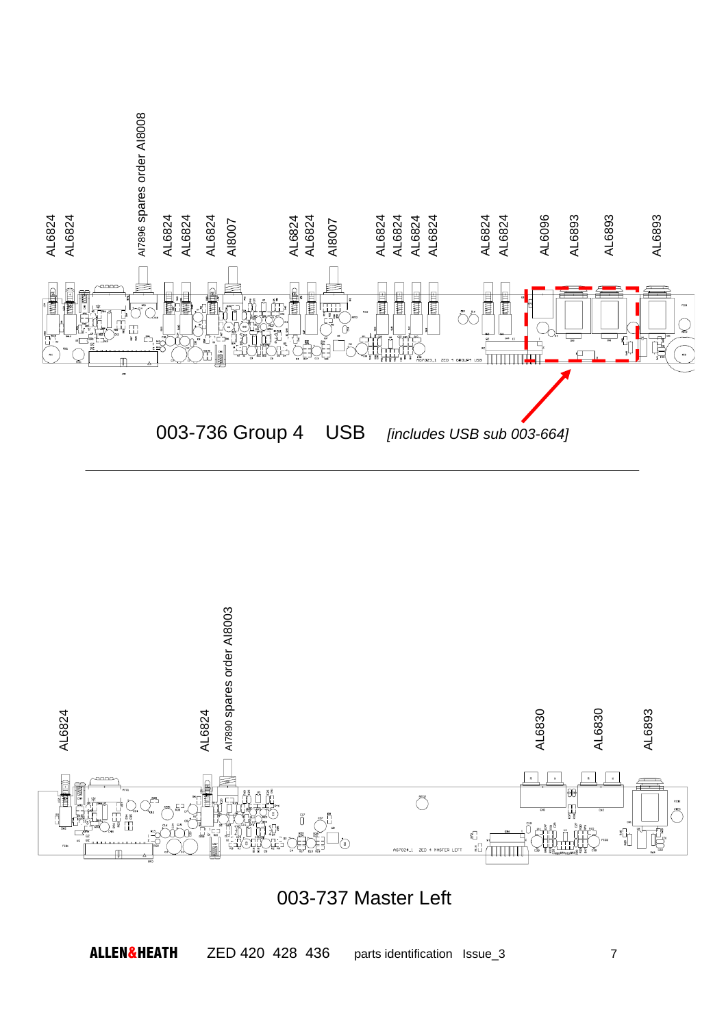



003-737 Master Left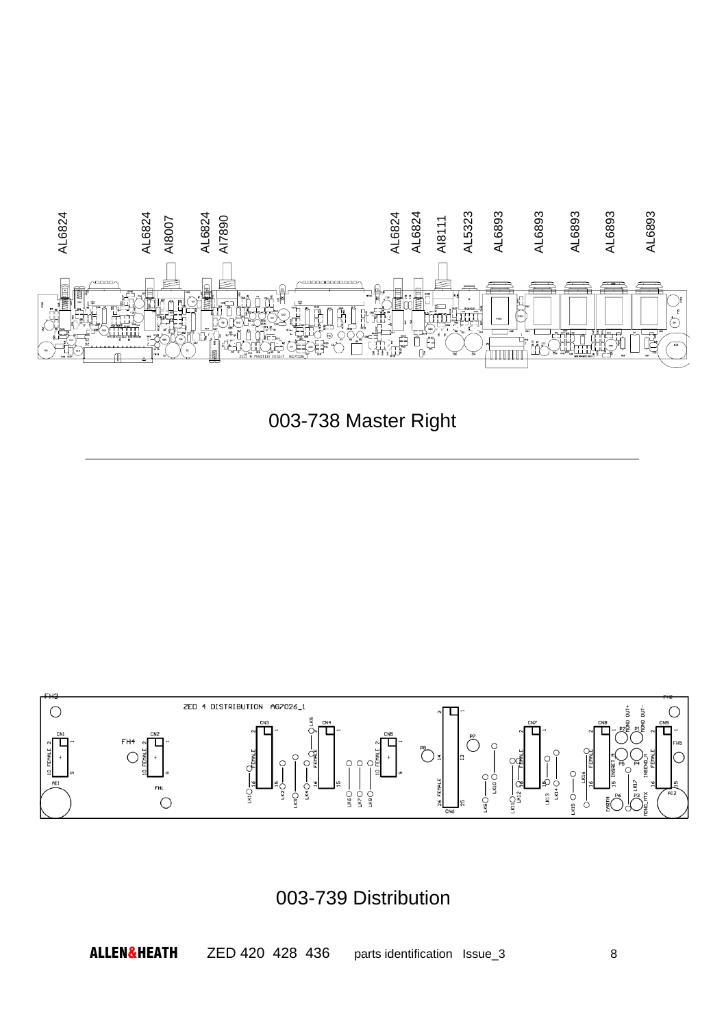

003-738 Master Right



003-739 Distribution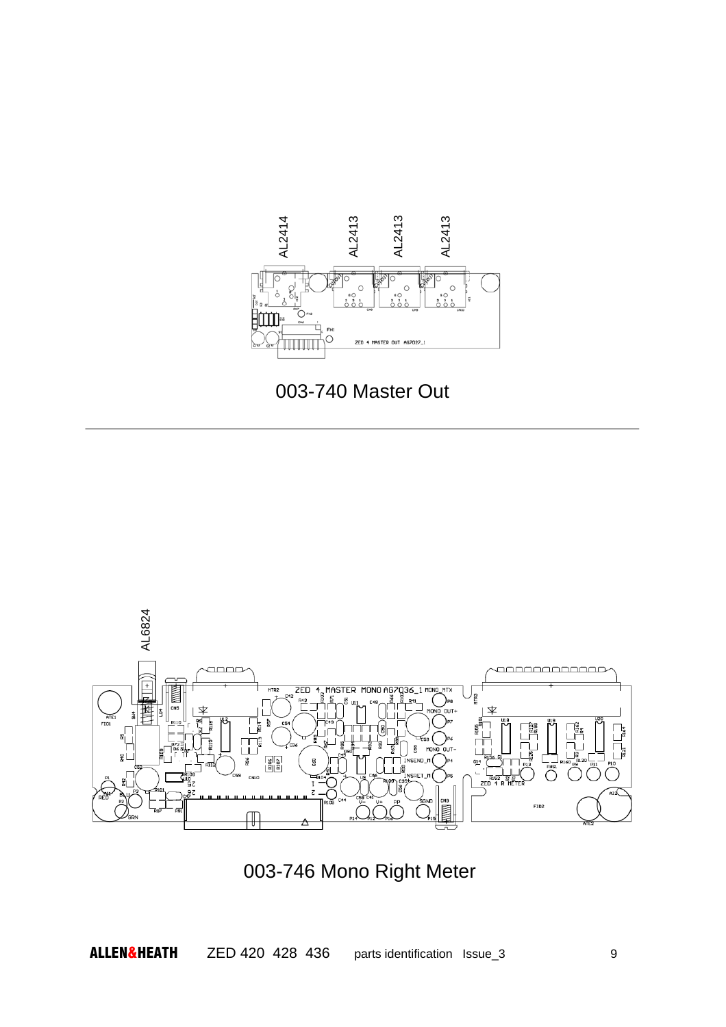





003-746 Mono Right Meter